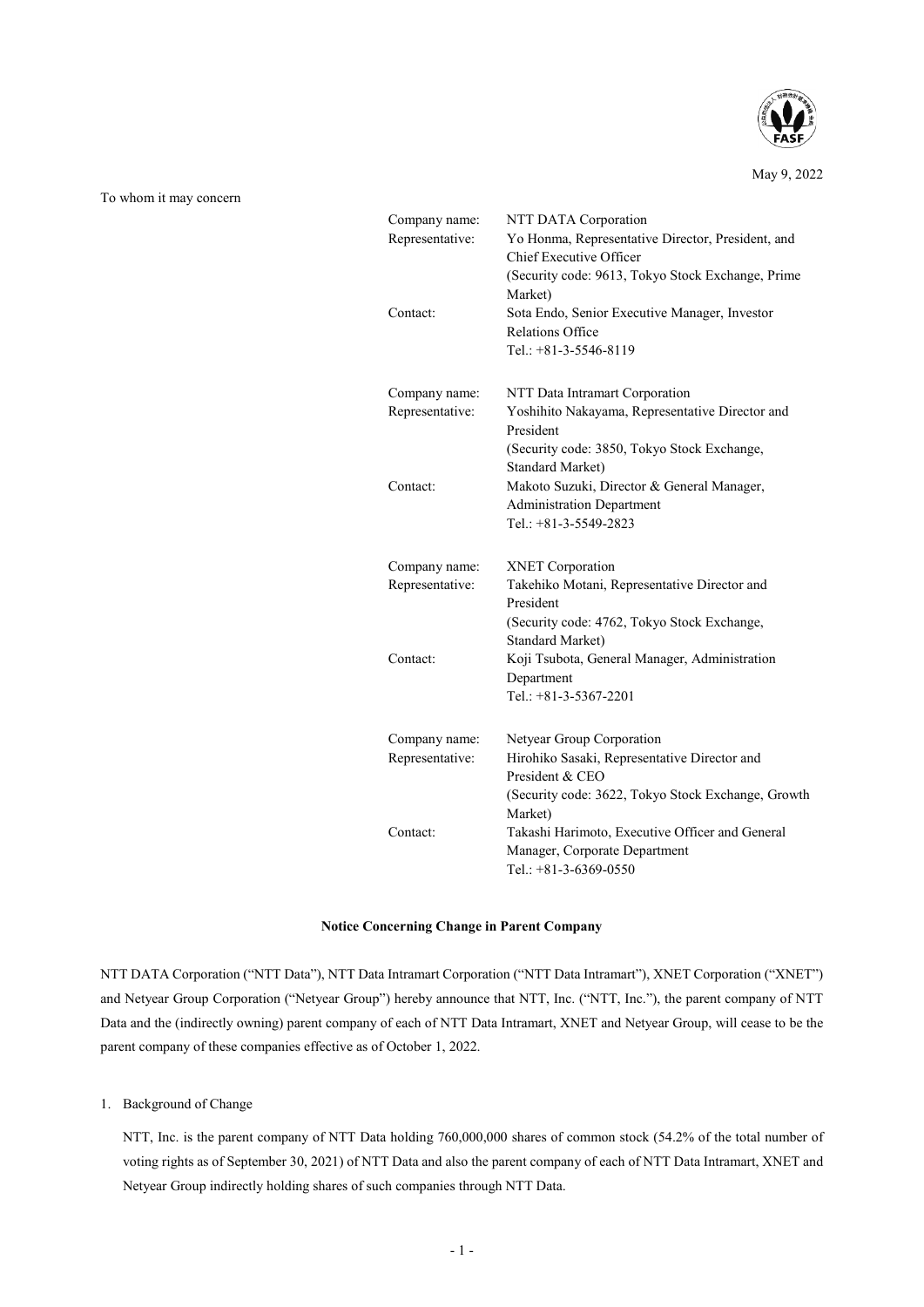

May 9, 2022

To whom it may concern

| Company name:<br>Representative: | NTT DATA Corporation<br>Yo Honma, Representative Director, President, and |
|----------------------------------|---------------------------------------------------------------------------|
|                                  | Chief Executive Officer                                                   |
|                                  | (Security code: 9613, Tokyo Stock Exchange, Prime                         |
|                                  | Market)                                                                   |
| Contact:                         | Sota Endo, Senior Executive Manager, Investor                             |
|                                  | <b>Relations Office</b>                                                   |
|                                  | Tel.: $+81-3-5546-8119$                                                   |
|                                  |                                                                           |
| Company name:                    | NTT Data Intramart Corporation                                            |
| Representative:                  | Yoshihito Nakayama, Representative Director and                           |
|                                  | President                                                                 |
|                                  | (Security code: 3850, Tokyo Stock Exchange,                               |
|                                  | Standard Market)                                                          |
| Contact:                         | Makoto Suzuki, Director & General Manager,                                |
|                                  | <b>Administration Department</b>                                          |
|                                  | Tel.: $+81-3-5549-2823$                                                   |
|                                  |                                                                           |
| Company name:<br>Representative: | <b>XNET</b> Corporation<br>Takehiko Motani, Representative Director and   |
|                                  | President                                                                 |
|                                  | (Security code: 4762, Tokyo Stock Exchange,                               |
|                                  | <b>Standard Market)</b>                                                   |
| Contact:                         | Koji Tsubota, General Manager, Administration                             |
|                                  | Department                                                                |
|                                  | Tel.: $+81-3-5367-2201$                                                   |
|                                  |                                                                           |
| Company name:                    | Netyear Group Corporation                                                 |
| Representative:                  | Hirohiko Sasaki, Representative Director and                              |
|                                  | President & CEO                                                           |
|                                  | (Security code: 3622, Tokyo Stock Exchange, Growth                        |
|                                  | Market)                                                                   |
| Contact:                         | Takashi Harimoto, Executive Officer and General                           |
|                                  | Manager, Corporate Department                                             |
|                                  | Tel.: +81-3-6369-0550                                                     |

#### **Notice Concerning Change in Parent Company**

NTT DATA Corporation ("NTT Data"), NTT Data Intramart Corporation ("NTT Data Intramart"), XNET Corporation ("XNET") and Netyear Group Corporation ("Netyear Group") hereby announce that NTT, Inc. ("NTT, Inc."), the parent company of NTT Data and the (indirectly owning) parent company of each of NTT Data Intramart, XNET and Netyear Group, will cease to be the parent company of these companies effective as of October 1, 2022.

1. Background of Change

NTT, Inc. is the parent company of NTT Data holding 760,000,000 shares of common stock (54.2% of the total number of voting rights as of September 30, 2021) of NTT Data and also the parent company of each of NTT Data Intramart, XNET and Netyear Group indirectly holding shares of such companies through NTT Data.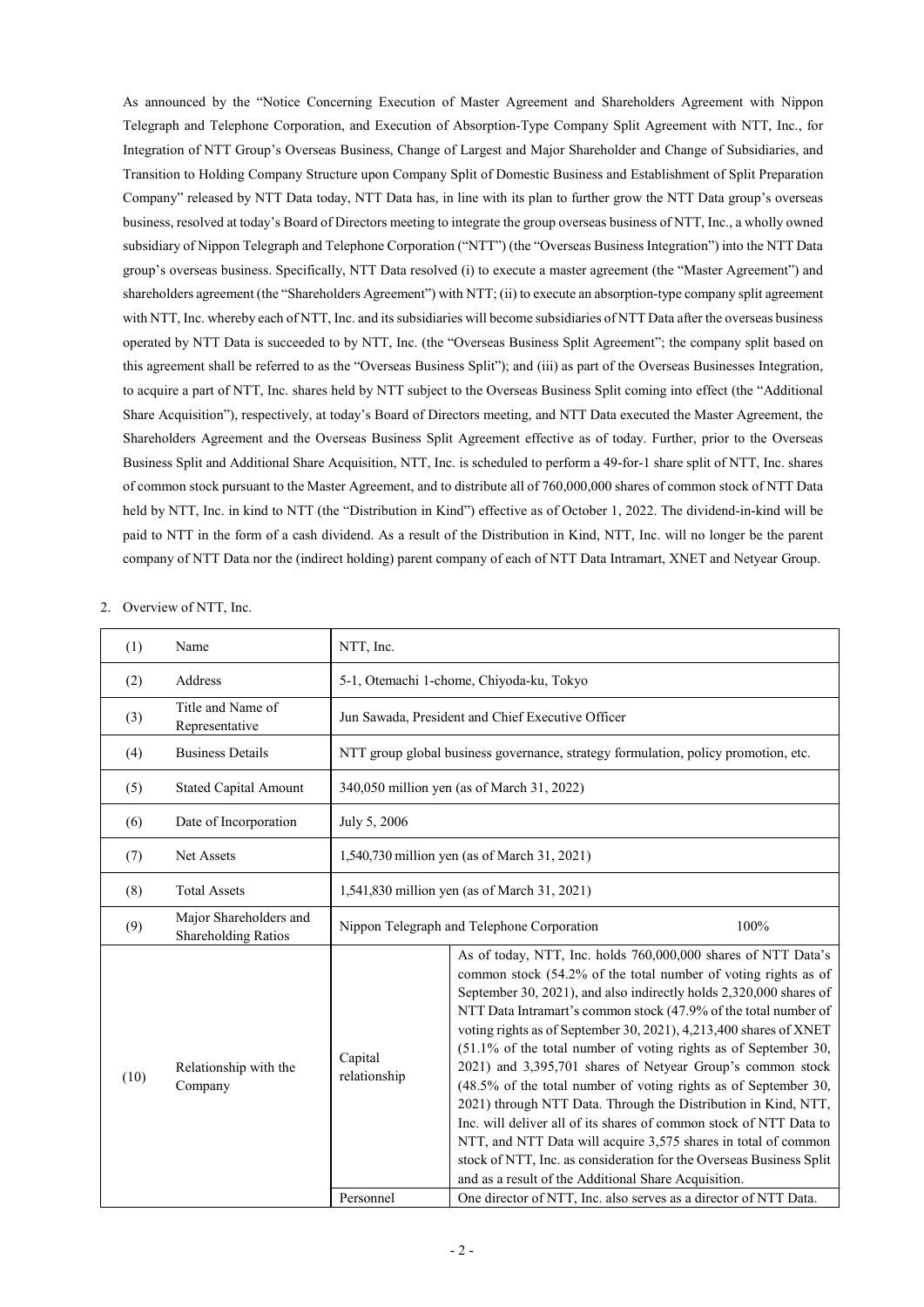As announced by the "Notice Concerning Execution of Master Agreement and Shareholders Agreement with Nippon Telegraph and Telephone Corporation, and Execution of Absorption-Type Company Split Agreement with NTT, Inc., for Integration of NTT Group's Overseas Business, Change of Largest and Major Shareholder and Change of Subsidiaries, and Transition to Holding Company Structure upon Company Split of Domestic Business and Establishment of Split Preparation Company" released by NTT Data today, NTT Data has, in line with its plan to further grow the NTT Data group's overseas business, resolved at today's Board of Directors meeting to integrate the group overseas business of NTT, Inc., a wholly owned subsidiary of Nippon Telegraph and Telephone Corporation ("NTT") (the "Overseas Business Integration") into the NTT Data group's overseas business. Specifically, NTT Data resolved (i) to execute a master agreement (the "Master Agreement") and shareholders agreement (the "Shareholders Agreement") with NTT; (ii) to execute an absorption-type company split agreement with NTT, Inc. whereby each of NTT, Inc. and its subsidiaries will become subsidiaries of NTT Data after the overseas business operated by NTT Data is succeeded to by NTT, Inc. (the "Overseas Business Split Agreement"; the company split based on this agreement shall be referred to as the "Overseas Business Split"); and (iii) as part of the Overseas Businesses Integration, to acquire a part of NTT, Inc. shares held by NTT subject to the Overseas Business Split coming into effect (the "Additional Share Acquisition"), respectively, at today's Board of Directors meeting, and NTT Data executed the Master Agreement, the Shareholders Agreement and the Overseas Business Split Agreement effective as of today. Further, prior to the Overseas Business Split and Additional Share Acquisition, NTT, Inc. is scheduled to perform a 49-for-1 share split of NTT, Inc. shares of common stock pursuant to the Master Agreement, and to distribute all of 760,000,000 shares of common stock of NTT Data held by NTT, Inc. in kind to NTT (the "Distribution in Kind") effective as of October 1, 2022. The dividend-in-kind will be paid to NTT in the form of a cash dividend. As a result of the Distribution in Kind, NTT, Inc. will no longer be the parent company of NTT Data nor the (indirect holding) parent company of each of NTT Data Intramart, XNET and Netyear Group.

#### 2. Overview of NTT, Inc.

| (1)  | Name                                          | NTT, Inc.                                          |                                                                                                                                                                                                                                                                                                                                                                                                                                                                                                                                                                                                                                                                                                                                                                                                                                                                                            |  |  |
|------|-----------------------------------------------|----------------------------------------------------|--------------------------------------------------------------------------------------------------------------------------------------------------------------------------------------------------------------------------------------------------------------------------------------------------------------------------------------------------------------------------------------------------------------------------------------------------------------------------------------------------------------------------------------------------------------------------------------------------------------------------------------------------------------------------------------------------------------------------------------------------------------------------------------------------------------------------------------------------------------------------------------------|--|--|
| (2)  | Address                                       | 5-1, Otemachi 1-chome, Chiyoda-ku, Tokyo           |                                                                                                                                                                                                                                                                                                                                                                                                                                                                                                                                                                                                                                                                                                                                                                                                                                                                                            |  |  |
| (3)  | Title and Name of<br>Representative           |                                                    | Jun Sawada, President and Chief Executive Officer                                                                                                                                                                                                                                                                                                                                                                                                                                                                                                                                                                                                                                                                                                                                                                                                                                          |  |  |
| (4)  | <b>Business Details</b>                       |                                                    | NTT group global business governance, strategy formulation, policy promotion, etc.                                                                                                                                                                                                                                                                                                                                                                                                                                                                                                                                                                                                                                                                                                                                                                                                         |  |  |
| (5)  | <b>Stated Capital Amount</b>                  |                                                    | 340,050 million yen (as of March 31, 2022)                                                                                                                                                                                                                                                                                                                                                                                                                                                                                                                                                                                                                                                                                                                                                                                                                                                 |  |  |
| (6)  | Date of Incorporation                         | July 5, 2006                                       |                                                                                                                                                                                                                                                                                                                                                                                                                                                                                                                                                                                                                                                                                                                                                                                                                                                                                            |  |  |
| (7)  | Net Assets                                    | 1,540,730 million yen (as of March 31, 2021)       |                                                                                                                                                                                                                                                                                                                                                                                                                                                                                                                                                                                                                                                                                                                                                                                                                                                                                            |  |  |
| (8)  | <b>Total Assets</b>                           | 1,541,830 million yen (as of March 31, 2021)       |                                                                                                                                                                                                                                                                                                                                                                                                                                                                                                                                                                                                                                                                                                                                                                                                                                                                                            |  |  |
| (9)  | Major Shareholders and<br>Shareholding Ratios | 100%<br>Nippon Telegraph and Telephone Corporation |                                                                                                                                                                                                                                                                                                                                                                                                                                                                                                                                                                                                                                                                                                                                                                                                                                                                                            |  |  |
| (10) | Relationship with the<br>Company              | Capital<br>relationship                            | As of today, NTT, Inc. holds 760,000,000 shares of NTT Data's<br>common stock (54.2% of the total number of voting rights as of<br>September 30, 2021), and also indirectly holds 2,320,000 shares of<br>NTT Data Intramart's common stock (47.9% of the total number of<br>voting rights as of September 30, 2021), 4,213,400 shares of XNET<br>(51.1% of the total number of voting rights as of September 30,<br>2021) and 3,395,701 shares of Netyear Group's common stock<br>(48.5% of the total number of voting rights as of September 30,<br>2021) through NTT Data. Through the Distribution in Kind, NTT,<br>Inc. will deliver all of its shares of common stock of NTT Data to<br>NTT, and NTT Data will acquire 3,575 shares in total of common<br>stock of NTT, Inc. as consideration for the Overseas Business Split<br>and as a result of the Additional Share Acquisition. |  |  |
|      |                                               | Personnel                                          | One director of NTT, Inc. also serves as a director of NTT Data.                                                                                                                                                                                                                                                                                                                                                                                                                                                                                                                                                                                                                                                                                                                                                                                                                           |  |  |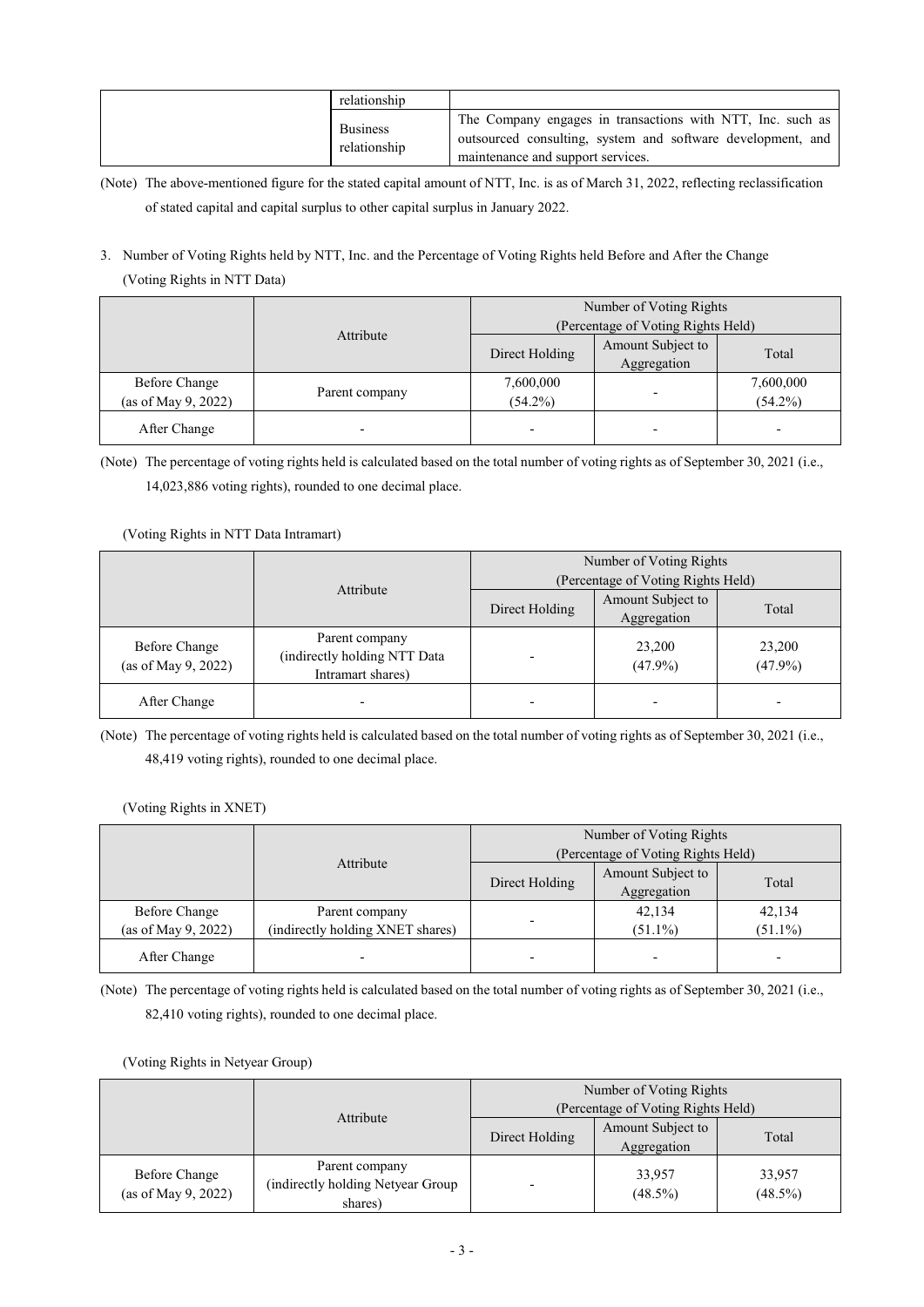| relationship                    |                                                                                                                                                                |
|---------------------------------|----------------------------------------------------------------------------------------------------------------------------------------------------------------|
| <b>Business</b><br>relationship | The Company engages in transactions with NTT, Inc. such as<br>outsourced consulting, system and software development, and<br>maintenance and support services. |

(Note) The above-mentioned figure for the stated capital amount of NTT, Inc. is as of March 31, 2022, reflecting reclassification of stated capital and capital surplus to other capital surplus in January 2022.

# 3. Number of Voting Rights held by NTT, Inc. and the Percentage of Voting Rights held Before and After the Change (Voting Rights in NTT Data)

|                                      |                | Number of Voting Rights<br>(Percentage of Voting Rights Held) |                                  |                          |
|--------------------------------------|----------------|---------------------------------------------------------------|----------------------------------|--------------------------|
| Attribute                            |                | Direct Holding                                                | Amount Subject to<br>Aggregation | Total                    |
| Before Change<br>(as of May 9, 2022) | Parent company | 7,600,000<br>$(54.2\%)$                                       |                                  | 7,600,000<br>$(54.2\%)$  |
| After Change                         |                |                                                               |                                  | $\overline{\phantom{0}}$ |

(Note) The percentage of voting rights held is calculated based on the total number of voting rights as of September 30, 2021 (i.e., 14,023,886 voting rights), rounded to one decimal place.

## (Voting Rights in NTT Data Intramart)

|                                             |                                                                     | Number of Voting Rights            |                                  |                      |
|---------------------------------------------|---------------------------------------------------------------------|------------------------------------|----------------------------------|----------------------|
|                                             | Attribute                                                           | (Percentage of Voting Rights Held) |                                  |                      |
|                                             |                                                                     | Direct Holding                     | Amount Subject to<br>Aggregation | Total                |
| <b>Before Change</b><br>(as of May 9, 2022) | Parent company<br>(indirectly holding NTT Data<br>Intramart shares) |                                    | 23,200<br>$(47.9\%)$             | 23,200<br>$(47.9\%)$ |
| After Change                                |                                                                     |                                    |                                  |                      |

(Note) The percentage of voting rights held is calculated based on the total number of voting rights as of September 30, 2021 (i.e., 48,419 voting rights), rounded to one decimal place.

(Voting Rights in XNET)

|                     |                                  |                                    | Number of Voting Rights |            |  |
|---------------------|----------------------------------|------------------------------------|-------------------------|------------|--|
|                     | Attribute                        | (Percentage of Voting Rights Held) |                         |            |  |
|                     |                                  | Direct Holding                     | Amount Subject to       | Total      |  |
|                     |                                  |                                    | Aggregation             |            |  |
| Before Change       | Parent company                   |                                    | 42,134                  | 42,134     |  |
| (as of May 9, 2022) | (indirectly holding XNET shares) |                                    | $(51.1\%)$              | $(51.1\%)$ |  |
| After Change        |                                  |                                    |                         | -          |  |

(Note) The percentage of voting rights held is calculated based on the total number of voting rights as of September 30, 2021 (i.e., 82,410 voting rights), rounded to one decimal place.

(Voting Rights in Netyear Group)

|                                             | Attribute                                                      | Number of Voting Rights<br>(Percentage of Voting Rights Held) |                                  |                      |
|---------------------------------------------|----------------------------------------------------------------|---------------------------------------------------------------|----------------------------------|----------------------|
|                                             |                                                                | Direct Holding                                                | Amount Subject to<br>Aggregation | Total                |
| <b>Before Change</b><br>(as of May 9, 2022) | Parent company<br>(indirectly holding Netyear Group<br>shares) |                                                               | 33,957<br>$(48.5\%)$             | 33,957<br>$(48.5\%)$ |